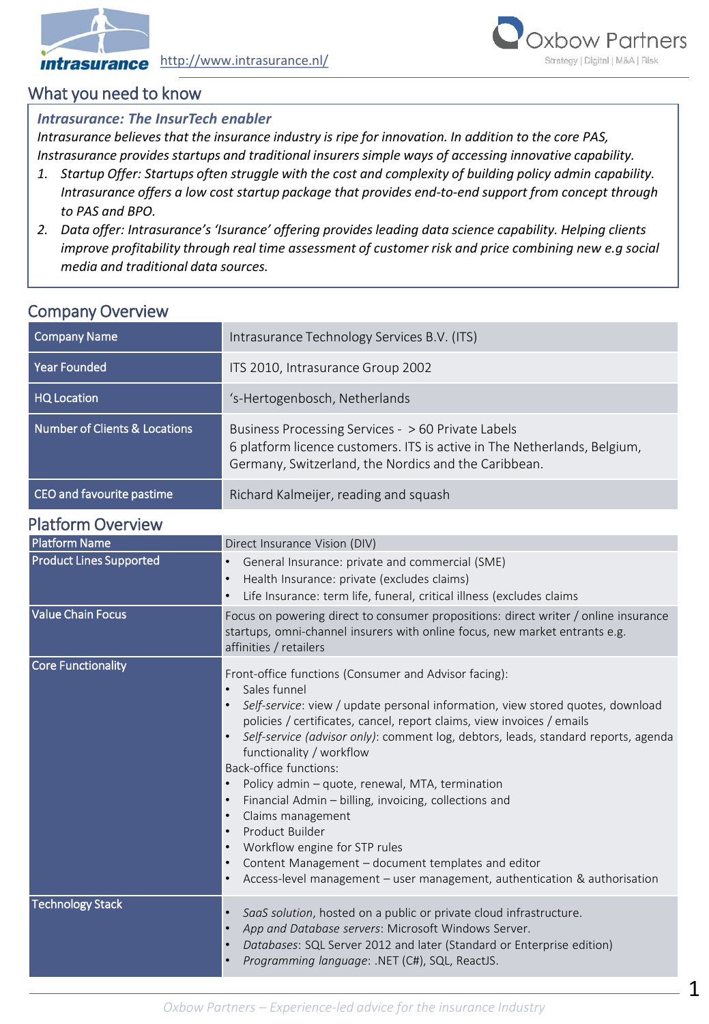



# What you need to know

### *Intrasurance: The InsurTech enabler*

*Intrasurance believes that the insurance industry is ripe for innovation. In addition to the core PAS, Instrasurance provides startups and traditional insurers simple ways of accessing innovative capability.*

- *1. Startup Offer: Startups often struggle with the cost and complexity of building policy admin capability. Intrasurance offers a low cost startup package that provides end-to-end support from concept through to PAS and BPO.*
- *2. Data offer: Intrasurance's 'Isurance' offering provides leading data science capability. Helping clients improve profitability through real time assessment of customer risk and price combining new e.g social media and traditional data sources.*

| <b>COLLINGITY OVER VIGW</b>              |                                                                                                                                                                                        |  |  |
|------------------------------------------|----------------------------------------------------------------------------------------------------------------------------------------------------------------------------------------|--|--|
| <b>Company Name</b>                      | Intrasurance Technology Services B.V. (ITS)                                                                                                                                            |  |  |
| <b>Year Founded</b>                      | ITS 2010, Intrasurance Group 2002                                                                                                                                                      |  |  |
| <b>HQ Location</b>                       | 's-Hertogenbosch, Netherlands                                                                                                                                                          |  |  |
| <b>Number of Clients &amp; Locations</b> | Business Processing Services - > 60 Private Labels<br>6 platform licence customers. ITS is active in The Netherlands, Belgium,<br>Germany, Switzerland, the Nordics and the Caribbean. |  |  |
| CEO and favourite pastime                | Richard Kalmeijer, reading and squash                                                                                                                                                  |  |  |

## Company Overview

## Platform Overview

| <b>Platform Name</b>           | Direct Insurance Vision (DIV)                                                                                                                                                                                                                                                                                                                                                                                                                                                                                                                                                                                                                                                                                      |  |  |
|--------------------------------|--------------------------------------------------------------------------------------------------------------------------------------------------------------------------------------------------------------------------------------------------------------------------------------------------------------------------------------------------------------------------------------------------------------------------------------------------------------------------------------------------------------------------------------------------------------------------------------------------------------------------------------------------------------------------------------------------------------------|--|--|
| <b>Product Lines Supported</b> | General Insurance: private and commercial (SME)<br>$\bullet$<br>Health Insurance: private (excludes claims)<br>$\bullet$<br>Life Insurance: term life, funeral, critical illness (excludes claims                                                                                                                                                                                                                                                                                                                                                                                                                                                                                                                  |  |  |
| l Value Chain Focus            | Focus on powering direct to consumer propositions: direct writer / online insurance<br>startups, omni-channel insurers with online focus, new market entrants e.g.<br>affinities / retailers                                                                                                                                                                                                                                                                                                                                                                                                                                                                                                                       |  |  |
| <b>Core Functionality</b>      | Front-office functions (Consumer and Advisor facing):<br>Sales funnel<br>Self-service: view / update personal information, view stored quotes, download<br>policies / certificates, cancel, report claims, view invoices / emails<br>Self-service (advisor only): comment log, debtors, leads, standard reports, agenda<br>functionality / workflow<br>Back-office functions:<br>Policy admin - quote, renewal, MTA, termination<br>Financial Admin - billing, invoicing, collections and<br>Claims management<br>Product Builder<br>Workflow engine for STP rules<br>Content Management - document templates and editor<br>$\bullet$<br>Access-level management - user management, authentication & authorisation |  |  |
| <b>Technology Stack</b>        | SaaS solution, hosted on a public or private cloud infrastructure.<br>$\bullet$<br>App and Database servers: Microsoft Windows Server.<br>Databases: SQL Server 2012 and later (Standard or Enterprise edition)<br>Programming language: .NET (C#), SQL, ReactJS.                                                                                                                                                                                                                                                                                                                                                                                                                                                  |  |  |